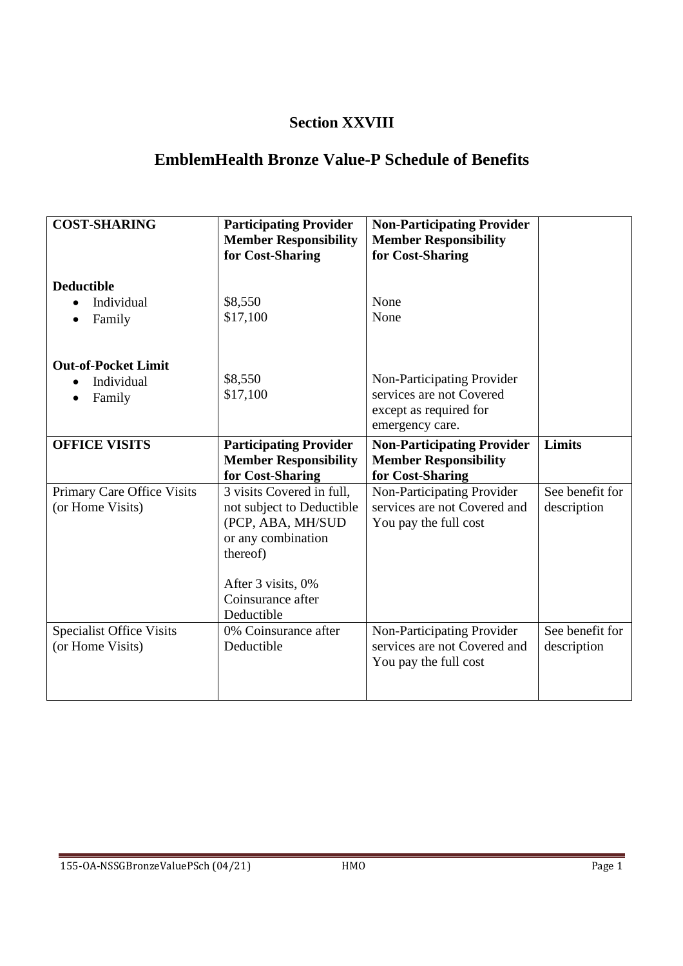## **Section XXVIII**

## **EmblemHealth Bronze Value-P Schedule of Benefits**

| <b>COST-SHARING</b>                                 | <b>Participating Provider</b><br><b>Member Responsibility</b><br>for Cost-Sharing                                                                                      | <b>Non-Participating Provider</b><br><b>Member Responsibility</b><br>for Cost-Sharing               |                                |
|-----------------------------------------------------|------------------------------------------------------------------------------------------------------------------------------------------------------------------------|-----------------------------------------------------------------------------------------------------|--------------------------------|
| <b>Deductible</b><br>Individual<br>Family           | \$8,550<br>\$17,100                                                                                                                                                    | None<br>None                                                                                        |                                |
| <b>Out-of-Pocket Limit</b><br>Individual<br>Family  | \$8,550<br>\$17,100                                                                                                                                                    | Non-Participating Provider<br>services are not Covered<br>except as required for<br>emergency care. |                                |
| <b>OFFICE VISITS</b>                                | <b>Participating Provider</b><br><b>Member Responsibility</b><br>for Cost-Sharing                                                                                      | <b>Non-Participating Provider</b><br><b>Member Responsibility</b><br>for Cost-Sharing               | Limits                         |
| Primary Care Office Visits<br>(or Home Visits)      | 3 visits Covered in full,<br>not subject to Deductible<br>(PCP, ABA, MH/SUD<br>or any combination<br>thereof)<br>After 3 visits, 0%<br>Coinsurance after<br>Deductible | Non-Participating Provider<br>services are not Covered and<br>You pay the full cost                 | See benefit for<br>description |
| <b>Specialist Office Visits</b><br>(or Home Visits) | 0% Coinsurance after<br>Deductible                                                                                                                                     | Non-Participating Provider<br>services are not Covered and<br>You pay the full cost                 | See benefit for<br>description |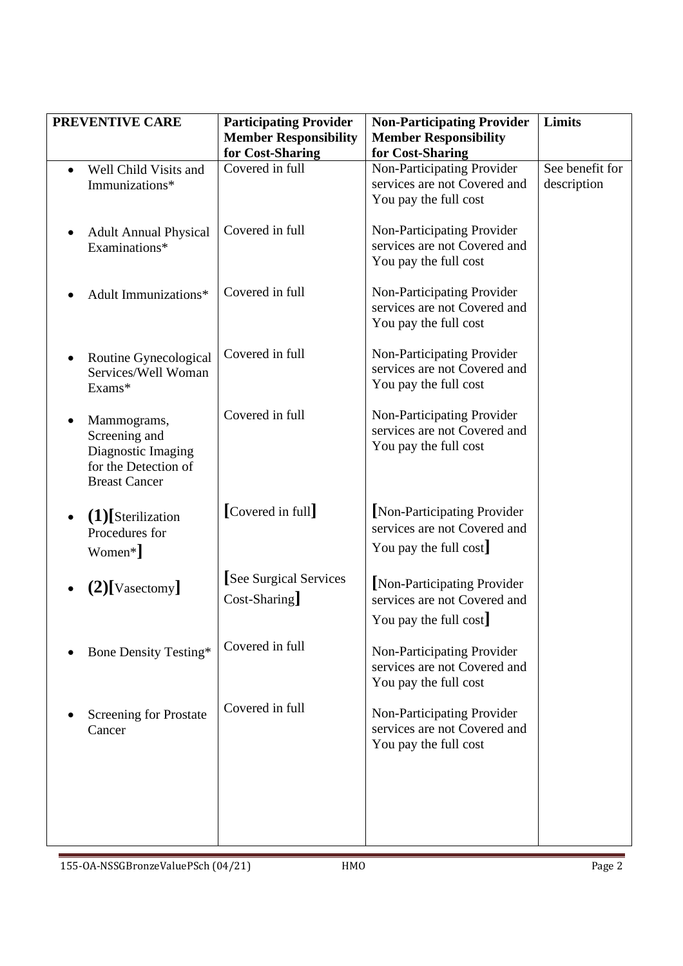|           | PREVENTIVE CARE                                                                                    | <b>Participating Provider</b>                    | <b>Non-Participating Provider</b>                                                    | Limits                         |
|-----------|----------------------------------------------------------------------------------------------------|--------------------------------------------------|--------------------------------------------------------------------------------------|--------------------------------|
|           |                                                                                                    | <b>Member Responsibility</b><br>for Cost-Sharing | <b>Member Responsibility</b><br>for Cost-Sharing                                     |                                |
| $\bullet$ | Well Child Visits and<br>Immunizations*                                                            | Covered in full                                  | Non-Participating Provider<br>services are not Covered and<br>You pay the full cost  | See benefit for<br>description |
| $\bullet$ | <b>Adult Annual Physical</b><br>Examinations*                                                      | Covered in full                                  | Non-Participating Provider<br>services are not Covered and<br>You pay the full cost  |                                |
|           | Adult Immunizations*                                                                               | Covered in full                                  | Non-Participating Provider<br>services are not Covered and<br>You pay the full cost  |                                |
|           | Routine Gynecological<br>Services/Well Woman<br>Exams*                                             | Covered in full                                  | Non-Participating Provider<br>services are not Covered and<br>You pay the full cost  |                                |
| $\bullet$ | Mammograms,<br>Screening and<br>Diagnostic Imaging<br>for the Detection of<br><b>Breast Cancer</b> | Covered in full                                  | Non-Participating Provider<br>services are not Covered and<br>You pay the full cost  |                                |
|           | $(1)$ [Sterilization<br>Procedures for<br>Women*]                                                  | [Covered in full]                                | Non-Participating Provider<br>services are not Covered and<br>You pay the full cost  |                                |
|           | $(2)$ [Vasectomy]                                                                                  | [See Surgical Services]<br>$Cost-Sharing$        | [Non-Participating Provider<br>services are not Covered and<br>You pay the full cost |                                |
|           | <b>Bone Density Testing*</b>                                                                       | Covered in full                                  | Non-Participating Provider<br>services are not Covered and<br>You pay the full cost  |                                |
|           | Screening for Prostate<br>Cancer                                                                   | Covered in full                                  | Non-Participating Provider<br>services are not Covered and<br>You pay the full cost  |                                |
|           |                                                                                                    |                                                  |                                                                                      |                                |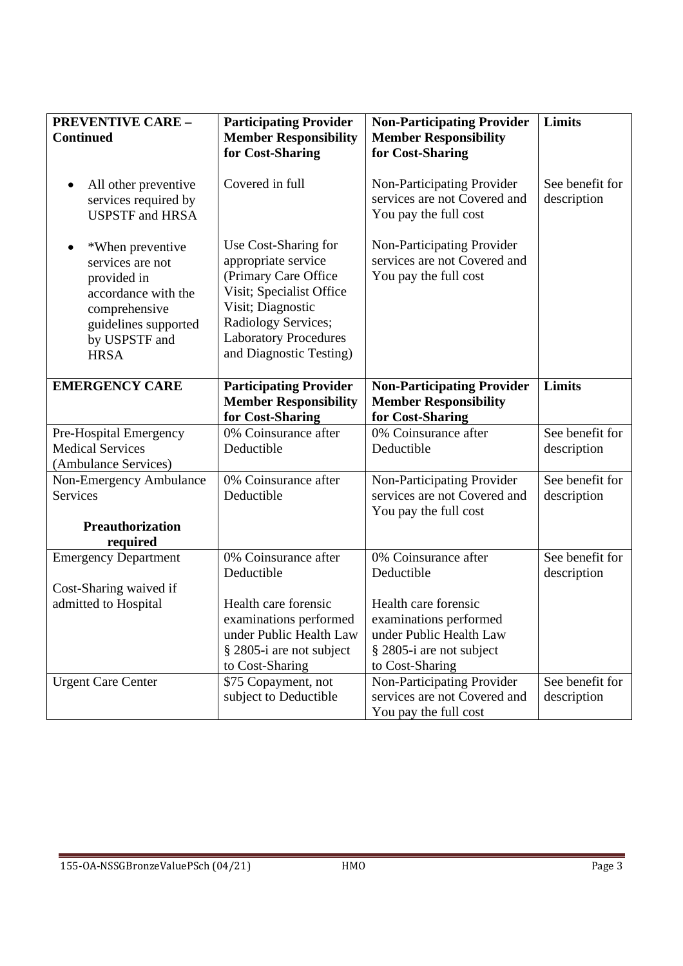| <b>PREVENTIVE CARE -</b><br><b>Continued</b>                                                                                                                     | <b>Participating Provider</b><br><b>Member Responsibility</b><br>for Cost-Sharing                                                                                                                      | <b>Non-Participating Provider</b><br><b>Member Responsibility</b><br>for Cost-Sharing | Limits                         |
|------------------------------------------------------------------------------------------------------------------------------------------------------------------|--------------------------------------------------------------------------------------------------------------------------------------------------------------------------------------------------------|---------------------------------------------------------------------------------------|--------------------------------|
| All other preventive<br>$\bullet$<br>services required by<br><b>USPSTF</b> and HRSA                                                                              | Covered in full                                                                                                                                                                                        | Non-Participating Provider<br>services are not Covered and<br>You pay the full cost   | See benefit for<br>description |
| *When preventive<br>$\bullet$<br>services are not<br>provided in<br>accordance with the<br>comprehensive<br>guidelines supported<br>by USPSTF and<br><b>HRSA</b> | Use Cost-Sharing for<br>appropriate service<br>(Primary Care Office<br>Visit; Specialist Office<br>Visit; Diagnostic<br>Radiology Services;<br><b>Laboratory Procedures</b><br>and Diagnostic Testing) | Non-Participating Provider<br>services are not Covered and<br>You pay the full cost   |                                |
| <b>EMERGENCY CARE</b>                                                                                                                                            | <b>Participating Provider</b><br><b>Member Responsibility</b><br>for Cost-Sharing                                                                                                                      | <b>Non-Participating Provider</b><br><b>Member Responsibility</b><br>for Cost-Sharing | Limits                         |
| Pre-Hospital Emergency                                                                                                                                           | 0% Coinsurance after                                                                                                                                                                                   | 0% Coinsurance after                                                                  | See benefit for                |
| <b>Medical Services</b>                                                                                                                                          | Deductible                                                                                                                                                                                             | Deductible                                                                            | description                    |
| (Ambulance Services)                                                                                                                                             |                                                                                                                                                                                                        |                                                                                       |                                |
| Non-Emergency Ambulance                                                                                                                                          | 0% Coinsurance after                                                                                                                                                                                   | Non-Participating Provider                                                            | See benefit for                |
| <b>Services</b>                                                                                                                                                  | Deductible                                                                                                                                                                                             | services are not Covered and                                                          | description                    |
|                                                                                                                                                                  |                                                                                                                                                                                                        | You pay the full cost                                                                 |                                |
| <b>Preauthorization</b>                                                                                                                                          |                                                                                                                                                                                                        |                                                                                       |                                |
| required                                                                                                                                                         |                                                                                                                                                                                                        |                                                                                       |                                |
| <b>Emergency Department</b>                                                                                                                                      | 0% Coinsurance after                                                                                                                                                                                   | 0% Coinsurance after                                                                  | See benefit for                |
|                                                                                                                                                                  | Deductible                                                                                                                                                                                             | Deductible                                                                            | description                    |
| Cost-Sharing waived if                                                                                                                                           |                                                                                                                                                                                                        | Health care forensic                                                                  |                                |
| admitted to Hospital                                                                                                                                             | Health care forensic                                                                                                                                                                                   |                                                                                       |                                |
|                                                                                                                                                                  | examinations performed<br>under Public Health Law                                                                                                                                                      | examinations performed<br>under Public Health Law                                     |                                |
|                                                                                                                                                                  | § 2805-i are not subject                                                                                                                                                                               | § 2805-i are not subject                                                              |                                |
|                                                                                                                                                                  | to Cost-Sharing                                                                                                                                                                                        | to Cost-Sharing                                                                       |                                |
| <b>Urgent Care Center</b>                                                                                                                                        | \$75 Copayment, not                                                                                                                                                                                    | Non-Participating Provider                                                            | See benefit for                |
|                                                                                                                                                                  | subject to Deductible                                                                                                                                                                                  | services are not Covered and                                                          | description                    |
|                                                                                                                                                                  |                                                                                                                                                                                                        | You pay the full cost                                                                 |                                |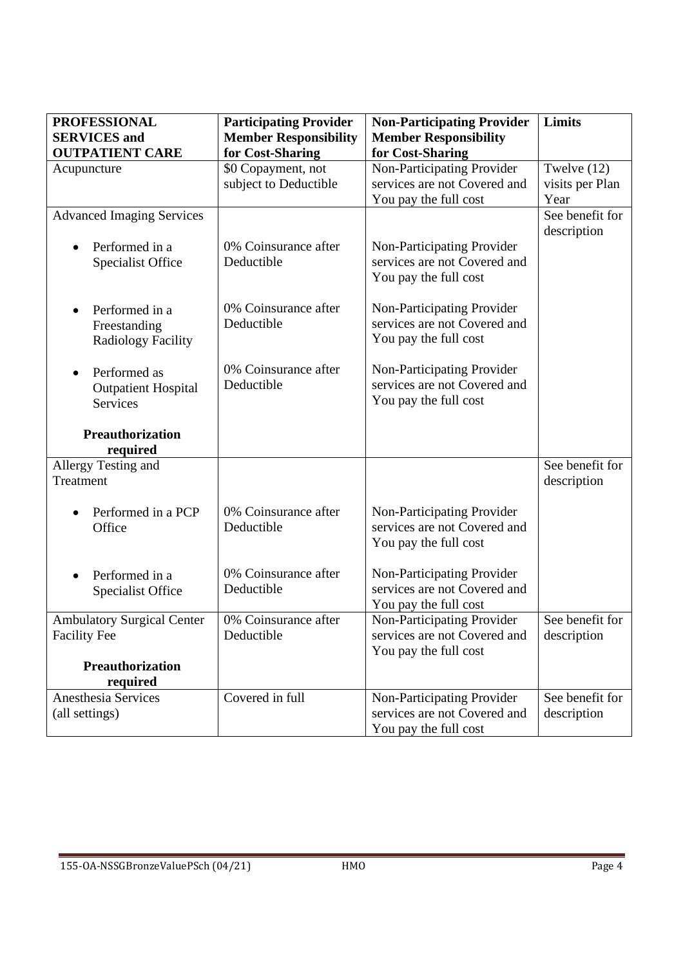| <b>PROFESSIONAL</b>                 | <b>Participating Provider</b> | <b>Non-Participating Provider</b> | <b>Limits</b>   |
|-------------------------------------|-------------------------------|-----------------------------------|-----------------|
| <b>SERVICES</b> and                 | <b>Member Responsibility</b>  | <b>Member Responsibility</b>      |                 |
| <b>OUTPATIENT CARE</b>              | for Cost-Sharing              | for Cost-Sharing                  |                 |
| Acupuncture                         | \$0 Copayment, not            | Non-Participating Provider        | Twelve (12)     |
|                                     | subject to Deductible         | services are not Covered and      | visits per Plan |
|                                     |                               | You pay the full cost             | Year            |
| <b>Advanced Imaging Services</b>    |                               |                                   | See benefit for |
|                                     |                               |                                   | description     |
| Performed in a                      | 0% Coinsurance after          | Non-Participating Provider        |                 |
| <b>Specialist Office</b>            | Deductible                    | services are not Covered and      |                 |
|                                     |                               | You pay the full cost             |                 |
|                                     | 0% Coinsurance after          | Non-Participating Provider        |                 |
| Performed in a<br>$\bullet$         | Deductible                    | services are not Covered and      |                 |
| Freestanding                        |                               | You pay the full cost             |                 |
| <b>Radiology Facility</b>           |                               |                                   |                 |
| Performed as                        | 0% Coinsurance after          | Non-Participating Provider        |                 |
| <b>Outpatient Hospital</b>          | Deductible                    | services are not Covered and      |                 |
| Services                            |                               | You pay the full cost             |                 |
|                                     |                               |                                   |                 |
| Preauthorization                    |                               |                                   |                 |
| required                            |                               |                                   |                 |
| Allergy Testing and                 |                               |                                   | See benefit for |
| Treatment                           |                               |                                   | description     |
|                                     |                               |                                   |                 |
| Performed in a PCP                  | 0% Coinsurance after          | Non-Participating Provider        |                 |
| Office                              | Deductible                    | services are not Covered and      |                 |
|                                     |                               | You pay the full cost             |                 |
| Performed in a                      | 0% Coinsurance after          | Non-Participating Provider        |                 |
| <b>Specialist Office</b>            | Deductible                    | services are not Covered and      |                 |
|                                     |                               | You pay the full cost             |                 |
| <b>Ambulatory Surgical Center</b>   | 0% Coinsurance after          | Non-Participating Provider        | See benefit for |
| <b>Facility Fee</b>                 | Deductible                    | services are not Covered and      | description     |
|                                     |                               | You pay the full cost             |                 |
| <b>Preauthorization</b><br>required |                               |                                   |                 |
| <b>Anesthesia Services</b>          | Covered in full               | Non-Participating Provider        | See benefit for |
| (all settings)                      |                               | services are not Covered and      | description     |
|                                     |                               | You pay the full cost             |                 |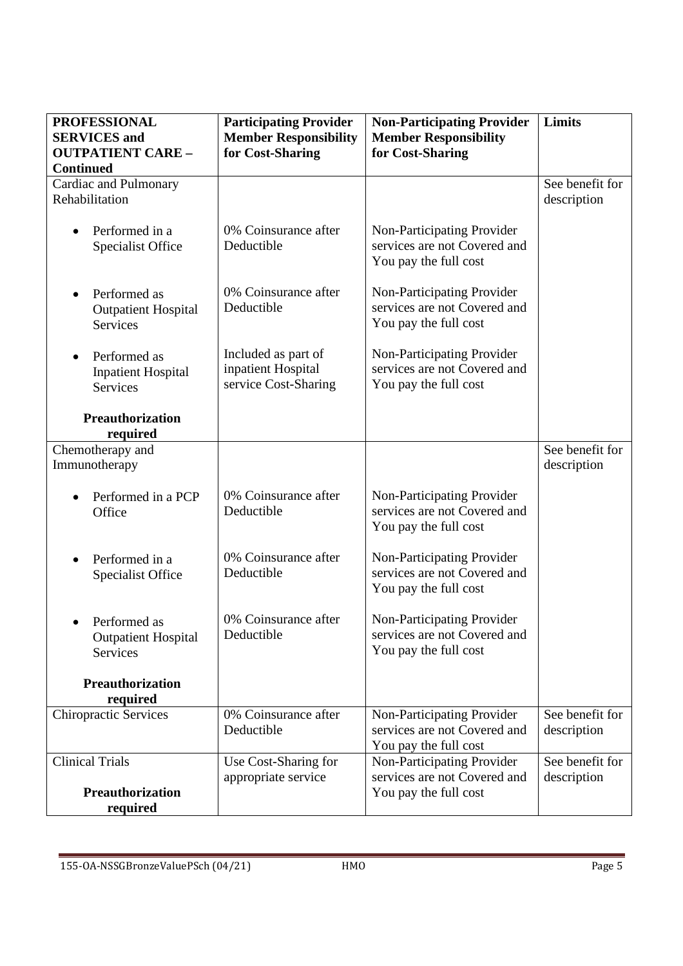| <b>PROFESSIONAL</b><br><b>SERVICES</b> and<br><b>OUTPATIENT CARE -</b><br><b>Continued</b> | <b>Participating Provider</b><br><b>Member Responsibility</b><br>for Cost-Sharing | <b>Non-Participating Provider</b><br><b>Member Responsibility</b><br>for Cost-Sharing | Limits                         |
|--------------------------------------------------------------------------------------------|-----------------------------------------------------------------------------------|---------------------------------------------------------------------------------------|--------------------------------|
| Cardiac and Pulmonary<br>Rehabilitation                                                    |                                                                                   |                                                                                       | See benefit for<br>description |
| Performed in a<br>$\bullet$<br><b>Specialist Office</b>                                    | 0% Coinsurance after<br>Deductible                                                | Non-Participating Provider<br>services are not Covered and<br>You pay the full cost   |                                |
| Performed as<br>$\bullet$<br><b>Outpatient Hospital</b><br><b>Services</b>                 | 0% Coinsurance after<br>Deductible                                                | Non-Participating Provider<br>services are not Covered and<br>You pay the full cost   |                                |
| Performed as<br>$\bullet$<br><b>Inpatient Hospital</b><br>Services                         | Included as part of<br>inpatient Hospital<br>service Cost-Sharing                 | Non-Participating Provider<br>services are not Covered and<br>You pay the full cost   |                                |
| <b>Preauthorization</b><br>required                                                        |                                                                                   |                                                                                       |                                |
| Chemotherapy and<br>Immunotherapy                                                          |                                                                                   |                                                                                       | See benefit for<br>description |
| Performed in a PCP<br>Office                                                               | 0% Coinsurance after<br>Deductible                                                | Non-Participating Provider<br>services are not Covered and<br>You pay the full cost   |                                |
| Performed in a<br>$\bullet$<br><b>Specialist Office</b>                                    | 0% Coinsurance after<br>Deductible                                                | Non-Participating Provider<br>services are not Covered and<br>You pay the full cost   |                                |
| Performed as<br><b>Outpatient Hospital</b><br>Services                                     | 0% Coinsurance after<br>Deductible                                                | Non-Participating Provider<br>services are not Covered and<br>You pay the full cost   |                                |
| <b>Preauthorization</b><br>required                                                        |                                                                                   |                                                                                       |                                |
| <b>Chiropractic Services</b>                                                               | 0% Coinsurance after<br>Deductible                                                | Non-Participating Provider<br>services are not Covered and<br>You pay the full cost   | See benefit for<br>description |
| <b>Clinical Trials</b>                                                                     | Use Cost-Sharing for<br>appropriate service                                       | Non-Participating Provider<br>services are not Covered and                            | See benefit for<br>description |
| <b>Preauthorization</b><br>required                                                        |                                                                                   | You pay the full cost                                                                 |                                |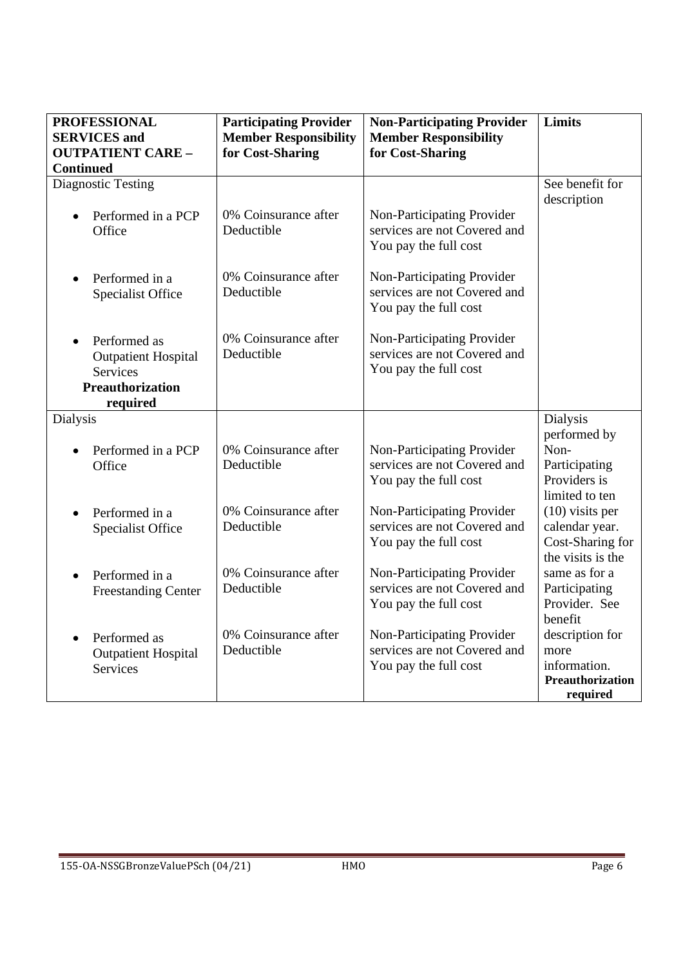| <b>PROFESSIONAL</b><br><b>SERVICES</b> and                                                                        | <b>Participating Provider</b><br><b>Member Responsibility</b> | <b>Non-Participating Provider</b><br><b>Member Responsibility</b>                   | <b>Limits</b>                                                                                  |
|-------------------------------------------------------------------------------------------------------------------|---------------------------------------------------------------|-------------------------------------------------------------------------------------|------------------------------------------------------------------------------------------------|
| <b>OUTPATIENT CARE -</b><br><b>Continued</b>                                                                      | for Cost-Sharing                                              | for Cost-Sharing                                                                    |                                                                                                |
| <b>Diagnostic Testing</b>                                                                                         |                                                               |                                                                                     | See benefit for                                                                                |
|                                                                                                                   |                                                               |                                                                                     | description                                                                                    |
| Performed in a PCP<br>$\bullet$<br>Office                                                                         | 0% Coinsurance after<br>Deductible                            | Non-Participating Provider<br>services are not Covered and<br>You pay the full cost |                                                                                                |
| Performed in a<br>$\bullet$<br><b>Specialist Office</b>                                                           | 0% Coinsurance after<br>Deductible                            | Non-Participating Provider<br>services are not Covered and<br>You pay the full cost |                                                                                                |
| Performed as<br>$\bullet$<br><b>Outpatient Hospital</b><br><b>Services</b><br><b>Preauthorization</b><br>required | 0% Coinsurance after<br>Deductible                            | Non-Participating Provider<br>services are not Covered and<br>You pay the full cost |                                                                                                |
| <b>Dialysis</b>                                                                                                   |                                                               |                                                                                     | <b>Dialysis</b>                                                                                |
| Performed in a PCP<br>Office                                                                                      | 0% Coinsurance after<br>Deductible                            | Non-Participating Provider<br>services are not Covered and<br>You pay the full cost | performed by<br>Non-<br>Participating<br>Providers is                                          |
| Performed in a<br>$\bullet$<br><b>Specialist Office</b>                                                           | 0% Coinsurance after<br>Deductible                            | Non-Participating Provider<br>services are not Covered and<br>You pay the full cost | limited to ten<br>$(10)$ visits per<br>calendar year.<br>Cost-Sharing for<br>the visits is the |
| Performed in a<br>$\bullet$<br><b>Freestanding Center</b>                                                         | 0% Coinsurance after<br>Deductible                            | Non-Participating Provider<br>services are not Covered and<br>You pay the full cost | same as for a<br>Participating<br>Provider. See<br>benefit                                     |
| Performed as<br>$\bullet$<br><b>Outpatient Hospital</b><br><b>Services</b>                                        | 0% Coinsurance after<br>Deductible                            | Non-Participating Provider<br>services are not Covered and<br>You pay the full cost | description for<br>more<br>information.<br>Preauthorization<br>required                        |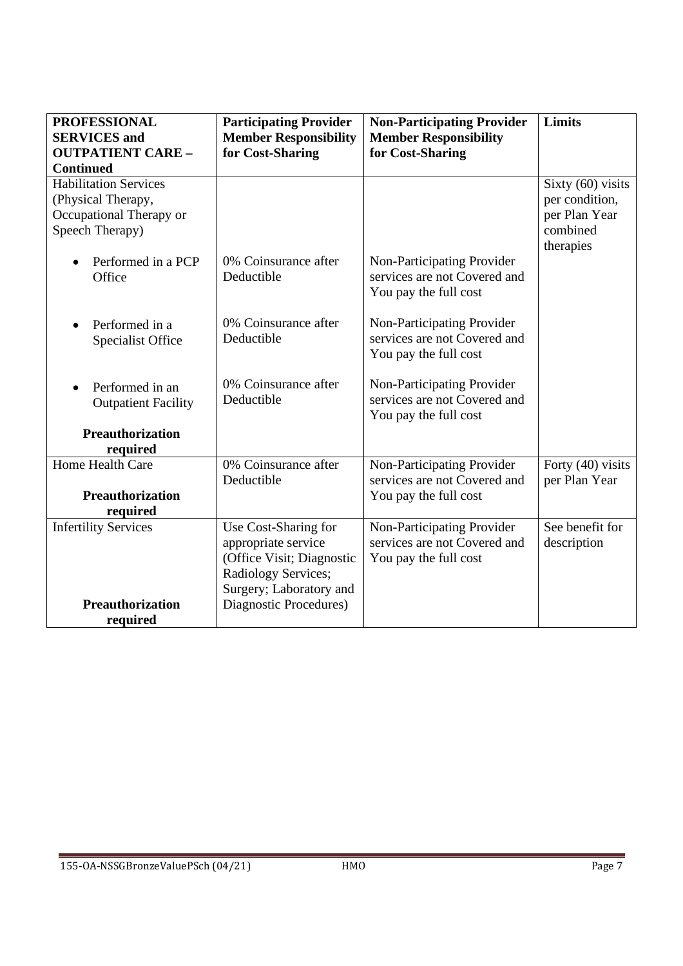| <b>PROFESSIONAL</b><br><b>SERVICES</b> and | <b>Participating Provider</b><br><b>Member Responsibility</b> | <b>Non-Participating Provider</b><br><b>Member Responsibility</b> | Limits                    |
|--------------------------------------------|---------------------------------------------------------------|-------------------------------------------------------------------|---------------------------|
| <b>OUTPATIENT CARE -</b>                   | for Cost-Sharing                                              | for Cost-Sharing                                                  |                           |
| <b>Continued</b>                           |                                                               |                                                                   |                           |
| <b>Habilitation Services</b>               |                                                               |                                                                   | Sixty (60) visits         |
| (Physical Therapy,                         |                                                               |                                                                   | per condition,            |
| Occupational Therapy or<br>Speech Therapy) |                                                               |                                                                   | per Plan Year<br>combined |
|                                            |                                                               |                                                                   | therapies                 |
| Performed in a PCP                         | 0% Coinsurance after                                          | Non-Participating Provider                                        |                           |
| Office                                     | Deductible                                                    | services are not Covered and                                      |                           |
|                                            |                                                               | You pay the full cost                                             |                           |
| Performed in a                             | 0% Coinsurance after                                          | Non-Participating Provider                                        |                           |
| Specialist Office                          | Deductible                                                    | services are not Covered and                                      |                           |
|                                            |                                                               | You pay the full cost                                             |                           |
| Performed in an                            | 0% Coinsurance after                                          | Non-Participating Provider                                        |                           |
| <b>Outpatient Facility</b>                 | Deductible                                                    | services are not Covered and                                      |                           |
|                                            |                                                               | You pay the full cost                                             |                           |
| Preauthorization                           |                                                               |                                                                   |                           |
| required                                   |                                                               |                                                                   |                           |
| Home Health Care                           | 0% Coinsurance after<br>Deductible                            | Non-Participating Provider<br>services are not Covered and        | Forty (40) visits         |
| <b>Preauthorization</b>                    |                                                               | You pay the full cost                                             | per Plan Year             |
| required                                   |                                                               |                                                                   |                           |
| <b>Infertility Services</b>                | Use Cost-Sharing for                                          | Non-Participating Provider                                        | See benefit for           |
|                                            | appropriate service                                           | services are not Covered and                                      | description               |
|                                            | (Office Visit; Diagnostic                                     | You pay the full cost                                             |                           |
|                                            | Radiology Services;                                           |                                                                   |                           |
|                                            | Surgery; Laboratory and                                       |                                                                   |                           |
| <b>Preauthorization</b>                    | Diagnostic Procedures)                                        |                                                                   |                           |
| required                                   |                                                               |                                                                   |                           |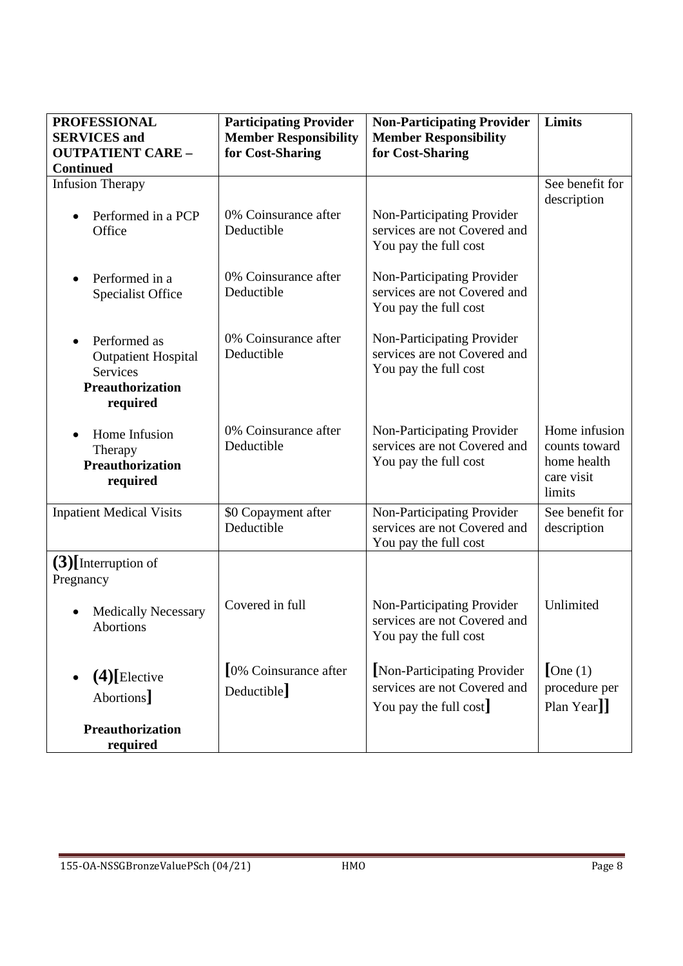| <b>PROFESSIONAL</b><br><b>SERVICES</b> and<br><b>OUTPATIENT CARE -</b><br><b>Continued</b>                        | <b>Participating Provider</b><br><b>Member Responsibility</b><br>for Cost-Sharing | <b>Non-Participating Provider</b><br><b>Member Responsibility</b><br>for Cost-Sharing | Limits                                                                |
|-------------------------------------------------------------------------------------------------------------------|-----------------------------------------------------------------------------------|---------------------------------------------------------------------------------------|-----------------------------------------------------------------------|
| <b>Infusion Therapy</b>                                                                                           |                                                                                   |                                                                                       | See benefit for                                                       |
| Performed in a PCP<br>Office                                                                                      | 0% Coinsurance after<br>Deductible                                                | Non-Participating Provider<br>services are not Covered and<br>You pay the full cost   | description                                                           |
| Performed in a<br>$\bullet$<br><b>Specialist Office</b>                                                           | 0% Coinsurance after<br>Deductible                                                | Non-Participating Provider<br>services are not Covered and<br>You pay the full cost   |                                                                       |
| Performed as<br>$\bullet$<br><b>Outpatient Hospital</b><br><b>Services</b><br><b>Preauthorization</b><br>required | 0% Coinsurance after<br>Deductible                                                | Non-Participating Provider<br>services are not Covered and<br>You pay the full cost   |                                                                       |
| Home Infusion<br>Therapy<br><b>Preauthorization</b><br>required                                                   | 0% Coinsurance after<br>Deductible                                                | Non-Participating Provider<br>services are not Covered and<br>You pay the full cost   | Home infusion<br>counts toward<br>home health<br>care visit<br>limits |
| <b>Inpatient Medical Visits</b>                                                                                   | \$0 Copayment after<br>Deductible                                                 | Non-Participating Provider<br>services are not Covered and<br>You pay the full cost   | See benefit for<br>description                                        |
| $(3)$ [Interruption of<br>Pregnancy                                                                               |                                                                                   |                                                                                       |                                                                       |
| <b>Medically Necessary</b><br>Abortions                                                                           | Covered in full                                                                   | Non-Participating Provider<br>services are not Covered and<br>You pay the full cost   | Unlimited                                                             |
| $(4)$ [Elective<br>Abortions <sup>]</sup>                                                                         | 0% Coinsurance after<br>Deductible]                                               | [Non-Participating Provider<br>services are not Covered and<br>You pay the full cost  | $\lceil$ One (1)<br>procedure per<br>Plan Year]]                      |
| <b>Preauthorization</b><br>required                                                                               |                                                                                   |                                                                                       |                                                                       |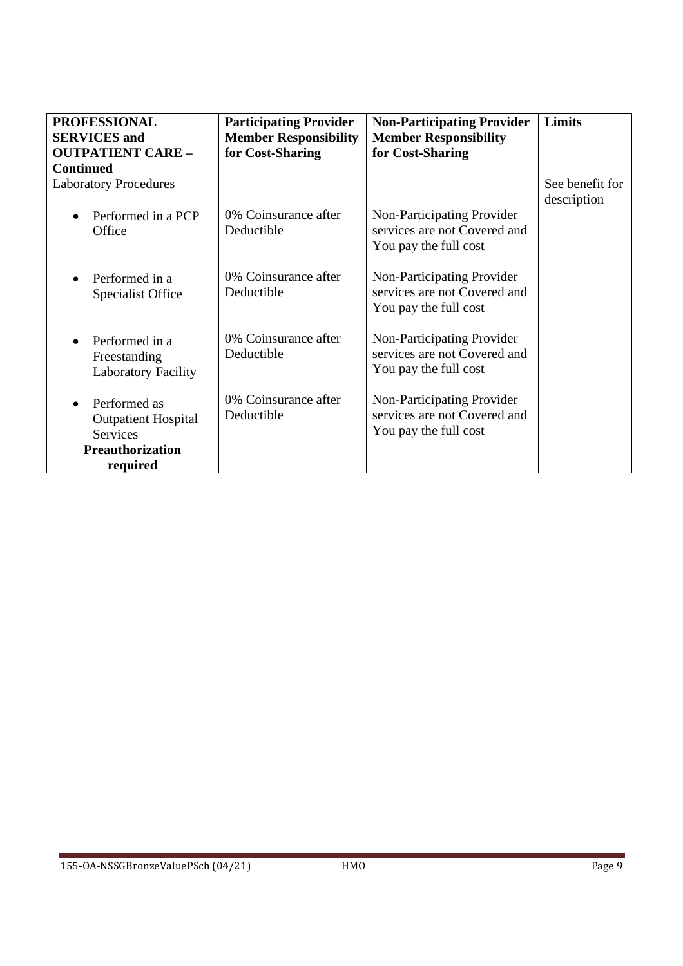| <b>PROFESSIONAL</b>             | <b>Participating Provider</b> | <b>Non-Participating Provider</b> | Limits          |
|---------------------------------|-------------------------------|-----------------------------------|-----------------|
| <b>SERVICES</b> and             | <b>Member Responsibility</b>  | <b>Member Responsibility</b>      |                 |
| <b>OUTPATIENT CARE -</b>        | for Cost-Sharing              | for Cost-Sharing                  |                 |
| <b>Continued</b>                |                               |                                   |                 |
| <b>Laboratory Procedures</b>    |                               |                                   | See benefit for |
|                                 |                               |                                   | description     |
| Performed in a PCP<br>$\bullet$ | 0% Coinsurance after          | Non-Participating Provider        |                 |
| Office                          | Deductible                    | services are not Covered and      |                 |
|                                 |                               | You pay the full cost             |                 |
|                                 |                               |                                   |                 |
| Performed in a<br>$\bullet$     | 0% Coinsurance after          | Non-Participating Provider        |                 |
| <b>Specialist Office</b>        | Deductible                    | services are not Covered and      |                 |
|                                 |                               | You pay the full cost             |                 |
|                                 |                               |                                   |                 |
| Performed in a<br>$\bullet$     | 0% Coinsurance after          | Non-Participating Provider        |                 |
| Freestanding                    | Deductible                    | services are not Covered and      |                 |
| <b>Laboratory Facility</b>      |                               | You pay the full cost             |                 |
|                                 | 0% Coinsurance after          | Non-Participating Provider        |                 |
| Performed as<br>$\bullet$       | Deductible                    | services are not Covered and      |                 |
| <b>Outpatient Hospital</b>      |                               |                                   |                 |
| <b>Services</b>                 |                               | You pay the full cost             |                 |
| <b>Preauthorization</b>         |                               |                                   |                 |
| required                        |                               |                                   |                 |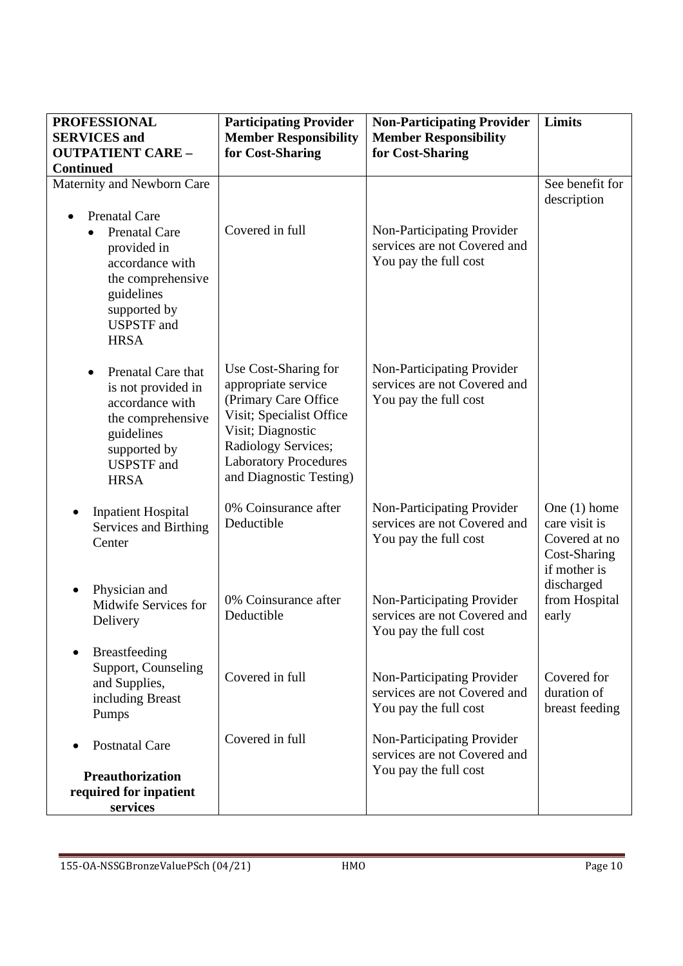| <b>PROFESSIONAL</b>                                                                                                                                                                | <b>Participating Provider</b>                                                                                                                                                                                  | <b>Non-Participating Provider</b>                                                   | Limits                                                                           |
|------------------------------------------------------------------------------------------------------------------------------------------------------------------------------------|----------------------------------------------------------------------------------------------------------------------------------------------------------------------------------------------------------------|-------------------------------------------------------------------------------------|----------------------------------------------------------------------------------|
| <b>SERVICES</b> and                                                                                                                                                                | <b>Member Responsibility</b>                                                                                                                                                                                   | <b>Member Responsibility</b>                                                        |                                                                                  |
| <b>OUTPATIENT CARE -</b>                                                                                                                                                           | for Cost-Sharing                                                                                                                                                                                               | for Cost-Sharing                                                                    |                                                                                  |
| <b>Continued</b>                                                                                                                                                                   |                                                                                                                                                                                                                |                                                                                     |                                                                                  |
| Maternity and Newborn Care                                                                                                                                                         |                                                                                                                                                                                                                |                                                                                     | See benefit for<br>description                                                   |
| <b>Prenatal Care</b><br><b>Prenatal Care</b><br>$\bullet$<br>provided in<br>accordance with<br>the comprehensive<br>guidelines<br>supported by<br><b>USPSTF</b> and<br><b>HRSA</b> | Covered in full                                                                                                                                                                                                | Non-Participating Provider<br>services are not Covered and<br>You pay the full cost |                                                                                  |
| Prenatal Care that<br>$\bullet$<br>is not provided in<br>accordance with<br>the comprehensive<br>guidelines<br>supported by<br><b>USPSTF</b> and<br><b>HRSA</b>                    | Use Cost-Sharing for<br>appropriate service<br>(Primary Care Office)<br>Visit; Specialist Office<br>Visit; Diagnostic<br><b>Radiology Services;</b><br><b>Laboratory Procedures</b><br>and Diagnostic Testing) | Non-Participating Provider<br>services are not Covered and<br>You pay the full cost |                                                                                  |
| <b>Inpatient Hospital</b><br>Services and Birthing<br>Center                                                                                                                       | 0% Coinsurance after<br>Deductible                                                                                                                                                                             | Non-Participating Provider<br>services are not Covered and<br>You pay the full cost | One $(1)$ home<br>care visit is<br>Covered at no<br>Cost-Sharing<br>if mother is |
| Physician and<br>$\bullet$<br>Midwife Services for<br>Delivery                                                                                                                     | 0% Coinsurance after<br>Deductible                                                                                                                                                                             | Non-Participating Provider<br>services are not Covered and<br>You pay the full cost | discharged<br>from Hospital<br>early                                             |
| <b>Breastfeeding</b><br>Support, Counseling<br>and Supplies,<br>including Breast<br>Pumps                                                                                          | Covered in full                                                                                                                                                                                                | Non-Participating Provider<br>services are not Covered and<br>You pay the full cost | Covered for<br>duration of<br>breast feeding                                     |
| <b>Postnatal Care</b>                                                                                                                                                              | Covered in full                                                                                                                                                                                                | Non-Participating Provider<br>services are not Covered and                          |                                                                                  |
| <b>Preauthorization</b><br>required for inpatient<br>services                                                                                                                      |                                                                                                                                                                                                                | You pay the full cost                                                               |                                                                                  |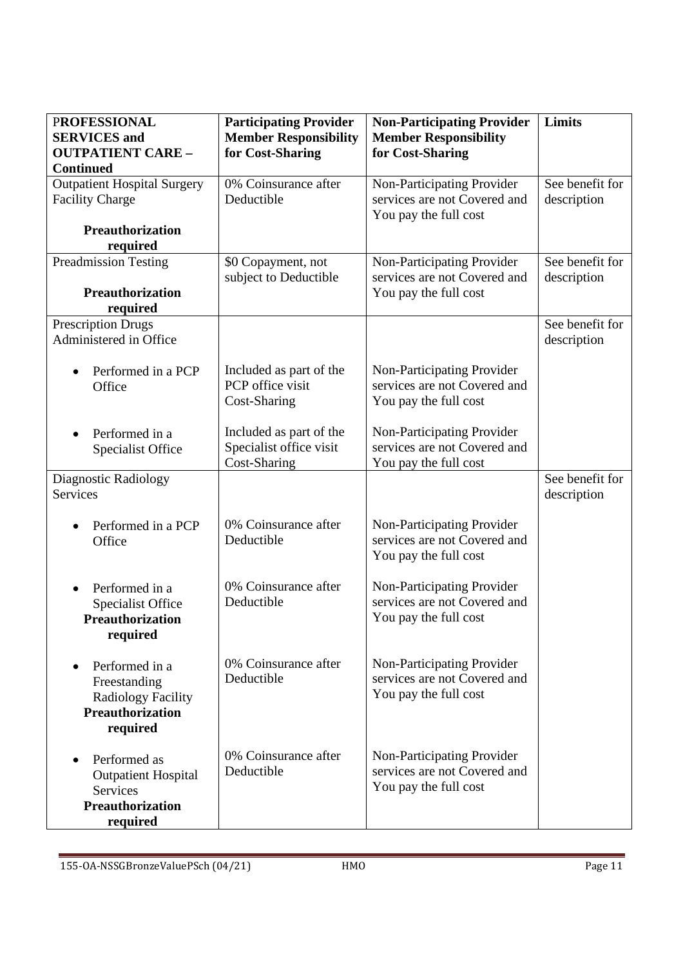| <b>PROFESSIONAL</b>                 | <b>Participating Provider</b> | <b>Non-Participating Provider</b>                          | <b>Limits</b>   |
|-------------------------------------|-------------------------------|------------------------------------------------------------|-----------------|
| <b>SERVICES</b> and                 | <b>Member Responsibility</b>  | <b>Member Responsibility</b>                               |                 |
| <b>OUTPATIENT CARE -</b>            | for Cost-Sharing              | for Cost-Sharing                                           |                 |
| <b>Continued</b>                    |                               |                                                            |                 |
| <b>Outpatient Hospital Surgery</b>  | 0% Coinsurance after          | Non-Participating Provider                                 | See benefit for |
| <b>Facility Charge</b>              | Deductible                    | services are not Covered and                               | description     |
|                                     |                               | You pay the full cost                                      |                 |
| <b>Preauthorization</b>             |                               |                                                            |                 |
| required                            |                               |                                                            |                 |
| <b>Preadmission Testing</b>         | \$0 Copayment, not            | Non-Participating Provider                                 | See benefit for |
|                                     | subject to Deductible         | services are not Covered and                               | description     |
| <b>Preauthorization</b>             |                               | You pay the full cost                                      |                 |
| required                            |                               |                                                            |                 |
| <b>Prescription Drugs</b>           |                               |                                                            | See benefit for |
| Administered in Office              |                               |                                                            | description     |
|                                     |                               |                                                            |                 |
| Performed in a PCP                  | Included as part of the       | Non-Participating Provider                                 |                 |
| Office                              | PCP office visit              | services are not Covered and                               |                 |
|                                     | Cost-Sharing                  | You pay the full cost                                      |                 |
|                                     |                               |                                                            |                 |
| Performed in a<br>$\bullet$         | Included as part of the       | Non-Participating Provider                                 |                 |
| <b>Specialist Office</b>            | Specialist office visit       | services are not Covered and                               |                 |
|                                     | Cost-Sharing                  | You pay the full cost                                      |                 |
| Diagnostic Radiology                |                               |                                                            | See benefit for |
| <b>Services</b>                     |                               |                                                            | description     |
|                                     |                               |                                                            |                 |
| Performed in a PCP                  | 0% Coinsurance after          | Non-Participating Provider                                 |                 |
| Office                              | Deductible                    | services are not Covered and                               |                 |
|                                     |                               | You pay the full cost                                      |                 |
|                                     | 0% Coinsurance after          |                                                            |                 |
| Performed in a                      | Deductible                    | Non-Participating Provider<br>services are not Covered and |                 |
| Specialist Office                   |                               |                                                            |                 |
| <b>Preauthorization</b>             |                               | You pay the full cost                                      |                 |
| required                            |                               |                                                            |                 |
|                                     | 0% Coinsurance after          | Non-Participating Provider                                 |                 |
| Performed in a                      | Deductible                    | services are not Covered and                               |                 |
| Freestanding                        |                               | You pay the full cost                                      |                 |
| <b>Radiology Facility</b>           |                               |                                                            |                 |
| <b>Preauthorization</b>             |                               |                                                            |                 |
| required                            |                               |                                                            |                 |
|                                     | 0% Coinsurance after          | Non-Participating Provider                                 |                 |
| Performed as                        | Deductible                    | services are not Covered and                               |                 |
| <b>Outpatient Hospital</b>          |                               | You pay the full cost                                      |                 |
| Services<br><b>Preauthorization</b> |                               |                                                            |                 |
|                                     |                               |                                                            |                 |
| required                            |                               |                                                            |                 |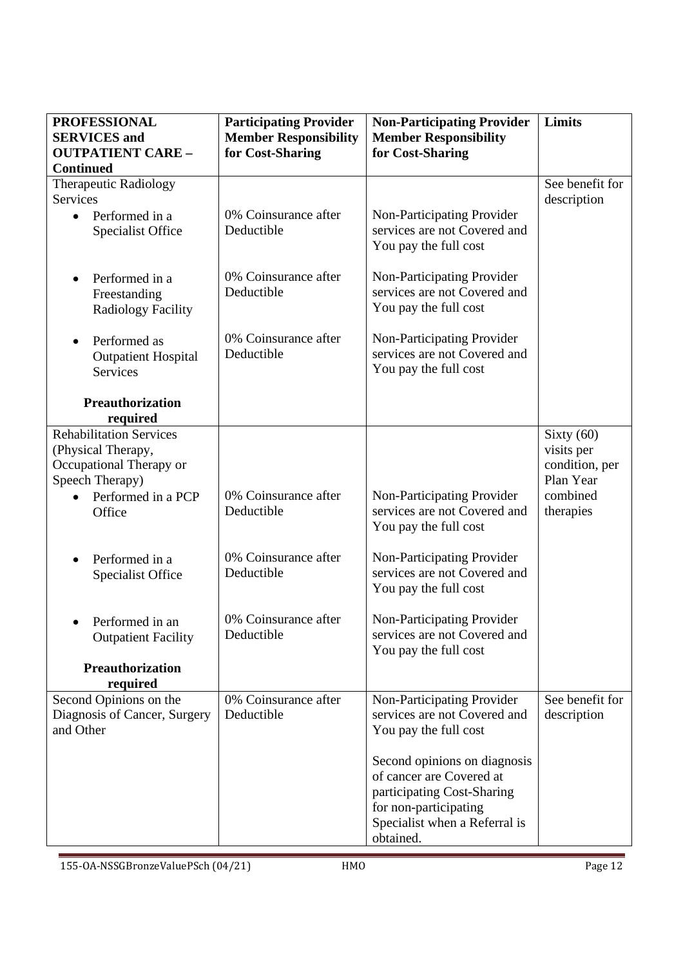| <b>PROFESSIONAL</b>                                    | <b>Participating Provider</b>      | <b>Non-Participating Provider</b>                          | Limits                         |
|--------------------------------------------------------|------------------------------------|------------------------------------------------------------|--------------------------------|
| <b>SERVICES</b> and                                    | <b>Member Responsibility</b>       | <b>Member Responsibility</b>                               |                                |
| <b>OUTPATIENT CARE -</b>                               | for Cost-Sharing                   | for Cost-Sharing                                           |                                |
| <b>Continued</b>                                       |                                    |                                                            | See benefit for                |
| Therapeutic Radiology<br><b>Services</b>               |                                    |                                                            | description                    |
| Performed in a<br>$\bullet$                            | 0% Coinsurance after               | Non-Participating Provider                                 |                                |
| <b>Specialist Office</b>                               | Deductible                         | services are not Covered and                               |                                |
|                                                        |                                    | You pay the full cost                                      |                                |
|                                                        |                                    |                                                            |                                |
| Performed in a<br>$\bullet$                            | 0% Coinsurance after<br>Deductible | Non-Participating Provider<br>services are not Covered and |                                |
| Freestanding<br><b>Radiology Facility</b>              |                                    | You pay the full cost                                      |                                |
|                                                        |                                    |                                                            |                                |
| Performed as<br>$\bullet$                              | 0% Coinsurance after               | Non-Participating Provider                                 |                                |
| <b>Outpatient Hospital</b>                             | Deductible                         | services are not Covered and                               |                                |
| <b>Services</b>                                        |                                    | You pay the full cost                                      |                                |
| <b>Preauthorization</b>                                |                                    |                                                            |                                |
| required                                               |                                    |                                                            |                                |
| <b>Rehabilitation Services</b>                         |                                    |                                                            | Sixty $(60)$                   |
| (Physical Therapy,                                     |                                    |                                                            | visits per                     |
| Occupational Therapy or                                |                                    |                                                            | condition, per                 |
| Speech Therapy)                                        | 0% Coinsurance after               |                                                            | Plan Year                      |
| Performed in a PCP<br>Office                           | Deductible                         | Non-Participating Provider<br>services are not Covered and | combined<br>therapies          |
|                                                        |                                    | You pay the full cost                                      |                                |
|                                                        |                                    |                                                            |                                |
| Performed in a                                         | 0% Coinsurance after               | Non-Participating Provider                                 |                                |
| <b>Specialist Office</b>                               | Deductible                         | services are not Covered and                               |                                |
|                                                        |                                    | You pay the full cost                                      |                                |
| Performed in an                                        | 0% Coinsurance after               | Non-Participating Provider                                 |                                |
| <b>Outpatient Facility</b>                             | Deductible                         | services are not Covered and                               |                                |
|                                                        |                                    | You pay the full cost                                      |                                |
| <b>Preauthorization</b>                                |                                    |                                                            |                                |
| required                                               |                                    |                                                            |                                |
| Second Opinions on the<br>Diagnosis of Cancer, Surgery | 0% Coinsurance after<br>Deductible | Non-Participating Provider<br>services are not Covered and | See benefit for<br>description |
| and Other                                              |                                    | You pay the full cost                                      |                                |
|                                                        |                                    |                                                            |                                |
|                                                        |                                    | Second opinions on diagnosis                               |                                |
|                                                        |                                    | of cancer are Covered at                                   |                                |
|                                                        |                                    | participating Cost-Sharing                                 |                                |
|                                                        |                                    | for non-participating<br>Specialist when a Referral is     |                                |
|                                                        |                                    | obtained.                                                  |                                |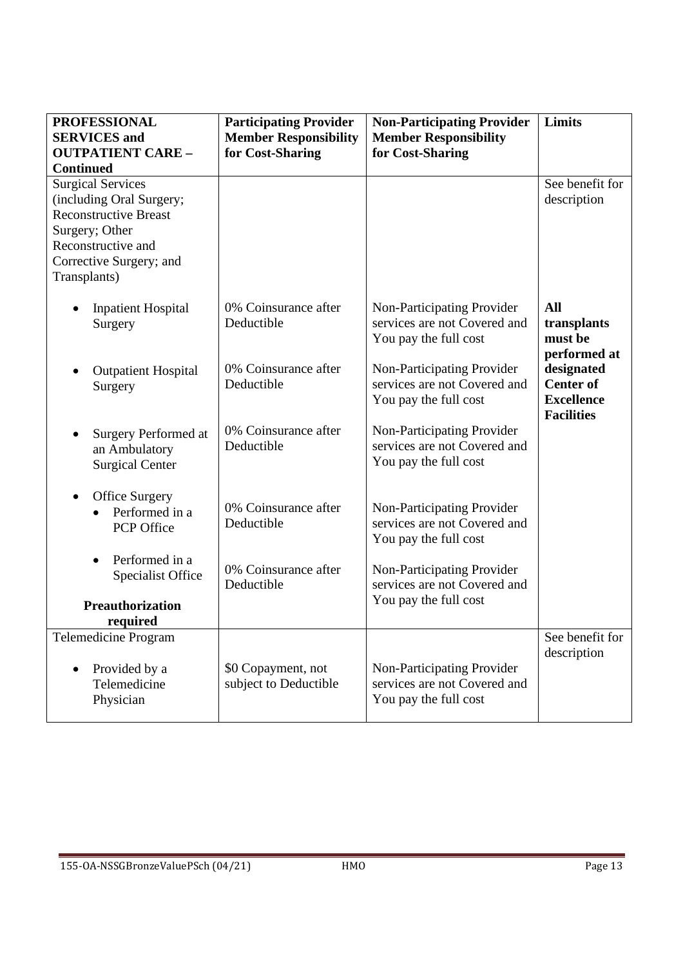| <b>PROFESSIONAL</b><br><b>SERVICES</b> and<br><b>OUTPATIENT CARE -</b><br><b>Continued</b>                                                                              | <b>Participating Provider</b><br><b>Member Responsibility</b><br>for Cost-Sharing | <b>Non-Participating Provider</b><br><b>Member Responsibility</b><br>for Cost-Sharing | Limits                                                                   |
|-------------------------------------------------------------------------------------------------------------------------------------------------------------------------|-----------------------------------------------------------------------------------|---------------------------------------------------------------------------------------|--------------------------------------------------------------------------|
| <b>Surgical Services</b><br>(including Oral Surgery;<br><b>Reconstructive Breast</b><br>Surgery; Other<br>Reconstructive and<br>Corrective Surgery; and<br>Transplants) |                                                                                   |                                                                                       | See benefit for<br>description                                           |
| <b>Inpatient Hospital</b><br>Surgery                                                                                                                                    | 0% Coinsurance after<br>Deductible                                                | Non-Participating Provider<br>services are not Covered and<br>You pay the full cost   | All<br>transplants<br>must be<br>performed at                            |
| <b>Outpatient Hospital</b><br>Surgery                                                                                                                                   | 0% Coinsurance after<br>Deductible                                                | Non-Participating Provider<br>services are not Covered and<br>You pay the full cost   | designated<br><b>Center of</b><br><b>Excellence</b><br><b>Facilities</b> |
| Surgery Performed at<br>an Ambulatory<br><b>Surgical Center</b>                                                                                                         | 0% Coinsurance after<br>Deductible                                                | Non-Participating Provider<br>services are not Covered and<br>You pay the full cost   |                                                                          |
| <b>Office Surgery</b><br>$\bullet$<br>Performed in a<br>PCP Office                                                                                                      | 0% Coinsurance after<br>Deductible                                                | Non-Participating Provider<br>services are not Covered and<br>You pay the full cost   |                                                                          |
| Performed in a<br><b>Specialist Office</b>                                                                                                                              | 0% Coinsurance after<br>Deductible                                                | Non-Participating Provider<br>services are not Covered and<br>You pay the full cost   |                                                                          |
| Preauthorization<br>required                                                                                                                                            |                                                                                   |                                                                                       |                                                                          |
| <b>Telemedicine Program</b><br>Provided by a<br>Telemedicine<br>Physician                                                                                               | \$0 Copayment, not<br>subject to Deductible                                       | Non-Participating Provider<br>services are not Covered and<br>You pay the full cost   | See benefit for<br>description                                           |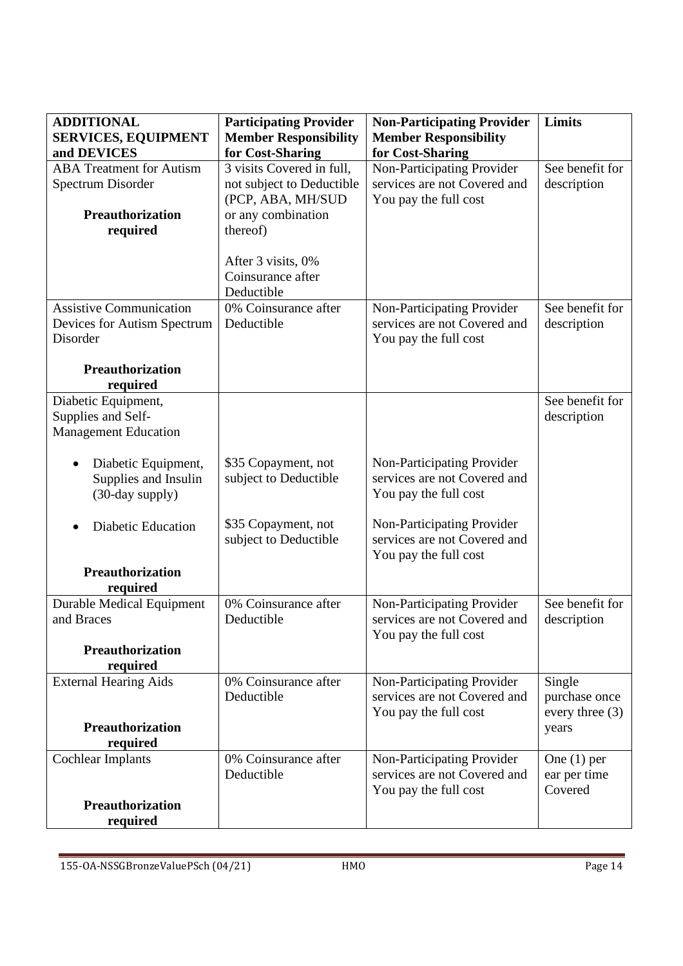| <b>ADDITIONAL</b>                | <b>Participating Provider</b>           | <b>Non-Participating Provider</b>                          | Limits                  |
|----------------------------------|-----------------------------------------|------------------------------------------------------------|-------------------------|
| <b>SERVICES, EQUIPMENT</b>       | <b>Member Responsibility</b>            | <b>Member Responsibility</b>                               |                         |
| and DEVICES                      | for Cost-Sharing                        | for Cost-Sharing                                           |                         |
| <b>ABA</b> Treatment for Autism  | 3 visits Covered in full,               | Non-Participating Provider                                 | See benefit for         |
| Spectrum Disorder                | not subject to Deductible               | services are not Covered and                               | description             |
|                                  | (PCP, ABA, MH/SUD                       | You pay the full cost                                      |                         |
| Preauthorization                 | or any combination                      |                                                            |                         |
| required                         | thereof)                                |                                                            |                         |
|                                  |                                         |                                                            |                         |
|                                  | After 3 visits, 0%<br>Coinsurance after |                                                            |                         |
|                                  | Deductible                              |                                                            |                         |
| <b>Assistive Communication</b>   | 0% Coinsurance after                    | Non-Participating Provider                                 | See benefit for         |
| Devices for Autism Spectrum      | Deductible                              | services are not Covered and                               | description             |
| Disorder                         |                                         | You pay the full cost                                      |                         |
| <b>Preauthorization</b>          |                                         |                                                            |                         |
| required                         |                                         |                                                            |                         |
| Diabetic Equipment,              |                                         |                                                            | See benefit for         |
| Supplies and Self-               |                                         |                                                            | description             |
| <b>Management Education</b>      |                                         |                                                            |                         |
|                                  |                                         |                                                            |                         |
| Diabetic Equipment,              | \$35 Copayment, not                     | Non-Participating Provider                                 |                         |
| Supplies and Insulin             | subject to Deductible                   | services are not Covered and                               |                         |
| (30-day supply)                  |                                         | You pay the full cost                                      |                         |
|                                  |                                         |                                                            |                         |
| <b>Diabetic Education</b>        | \$35 Copayment, not                     | Non-Participating Provider<br>services are not Covered and |                         |
|                                  | subject to Deductible                   | You pay the full cost                                      |                         |
| Preauthorization                 |                                         |                                                            |                         |
| required                         |                                         |                                                            |                         |
| <b>Durable Medical Equipment</b> | 0% Coinsurance after                    | Non-Participating Provider                                 | See benefit for         |
| and Braces                       | Deductible                              | services are not Covered and                               | description             |
|                                  |                                         | You pay the full cost                                      |                         |
| <b>Preauthorization</b>          |                                         |                                                            |                         |
| required                         |                                         |                                                            |                         |
| <b>External Hearing Aids</b>     | 0% Coinsurance after<br>Deductible      | Non-Participating Provider<br>services are not Covered and | Single<br>purchase once |
|                                  |                                         |                                                            | every three $(3)$       |
| <b>Preauthorization</b>          |                                         | You pay the full cost                                      | years                   |
| required                         |                                         |                                                            |                         |
| <b>Cochlear Implants</b>         | 0% Coinsurance after                    | Non-Participating Provider                                 | One $(1)$ per           |
|                                  | Deductible                              | services are not Covered and                               | ear per time            |
|                                  |                                         | You pay the full cost                                      | Covered                 |
| <b>Preauthorization</b>          |                                         |                                                            |                         |
| required                         |                                         |                                                            |                         |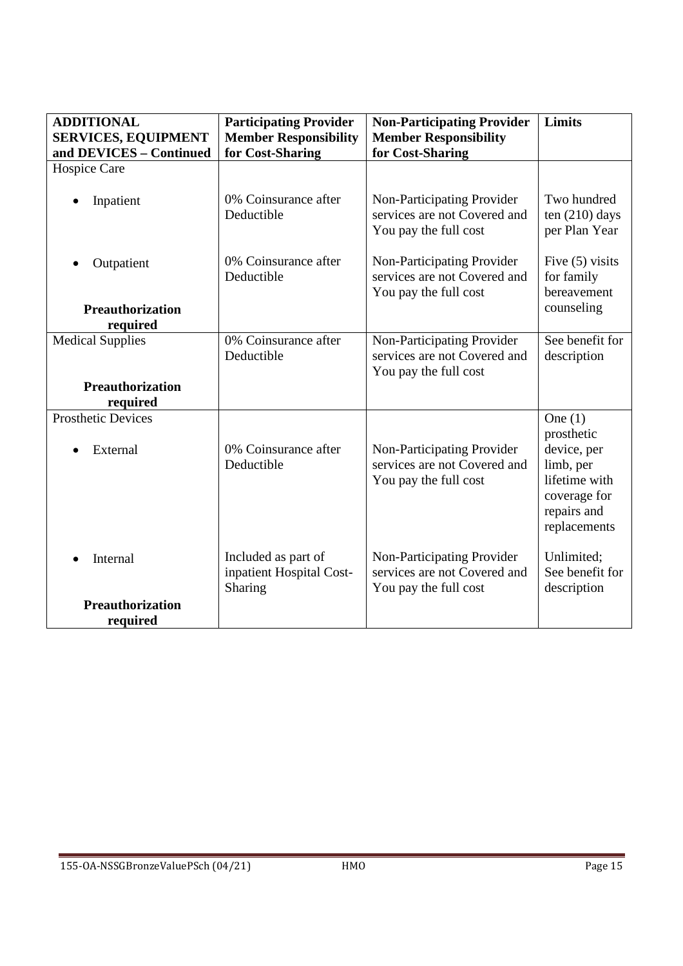| <b>ADDITIONAL</b>                     | <b>Participating Provider</b>                              | <b>Non-Participating Provider</b>                                                   | Limits                                                                                                              |
|---------------------------------------|------------------------------------------------------------|-------------------------------------------------------------------------------------|---------------------------------------------------------------------------------------------------------------------|
| <b>SERVICES, EQUIPMENT</b>            | <b>Member Responsibility</b>                               | <b>Member Responsibility</b>                                                        |                                                                                                                     |
| and DEVICES - Continued               | for Cost-Sharing                                           | for Cost-Sharing                                                                    |                                                                                                                     |
| Hospice Care                          |                                                            |                                                                                     |                                                                                                                     |
| Inpatient                             | 0% Coinsurance after<br>Deductible                         | Non-Participating Provider<br>services are not Covered and<br>You pay the full cost | Two hundred<br>ten $(210)$ days<br>per Plan Year                                                                    |
| Outpatient                            | 0% Coinsurance after<br>Deductible                         | Non-Participating Provider<br>services are not Covered and<br>You pay the full cost | Five $(5)$ visits<br>for family<br>bereavement                                                                      |
| <b>Preauthorization</b>               |                                                            |                                                                                     | counseling                                                                                                          |
| required                              |                                                            |                                                                                     |                                                                                                                     |
| <b>Medical Supplies</b>               | 0% Coinsurance after<br>Deductible                         | Non-Participating Provider<br>services are not Covered and<br>You pay the full cost | See benefit for<br>description                                                                                      |
| <b>Preauthorization</b><br>required   |                                                            |                                                                                     |                                                                                                                     |
| <b>Prosthetic Devices</b><br>External | 0% Coinsurance after<br>Deductible                         | Non-Participating Provider<br>services are not Covered and<br>You pay the full cost | One $(1)$<br>prosthetic<br>device, per<br>limb, per<br>lifetime with<br>coverage for<br>repairs and<br>replacements |
| Internal                              | Included as part of<br>inpatient Hospital Cost-<br>Sharing | Non-Participating Provider<br>services are not Covered and<br>You pay the full cost | Unlimited;<br>See benefit for<br>description                                                                        |
| <b>Preauthorization</b><br>required   |                                                            |                                                                                     |                                                                                                                     |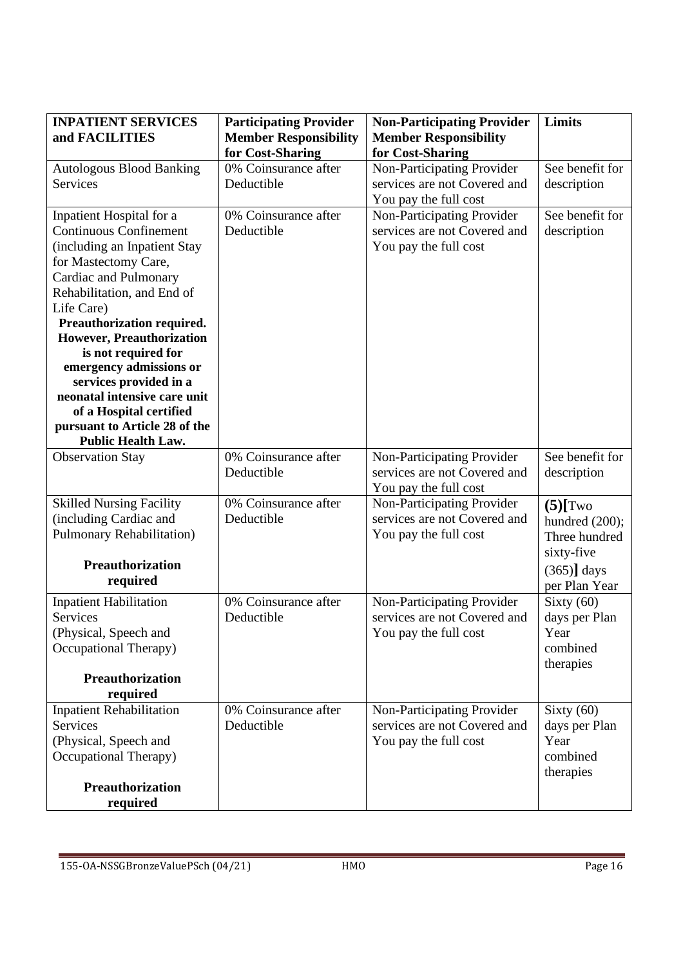| <b>INPATIENT SERVICES</b>                         | <b>Participating Provider</b> | <b>Non-Participating Provider</b> | <b>Limits</b>   |
|---------------------------------------------------|-------------------------------|-----------------------------------|-----------------|
| and FACILITIES                                    | <b>Member Responsibility</b>  | <b>Member Responsibility</b>      |                 |
|                                                   | for Cost-Sharing              | for Cost-Sharing                  |                 |
| <b>Autologous Blood Banking</b>                   | 0% Coinsurance after          | Non-Participating Provider        | See benefit for |
| <b>Services</b>                                   | Deductible                    | services are not Covered and      | description     |
|                                                   |                               | You pay the full cost             |                 |
| Inpatient Hospital for a                          | 0% Coinsurance after          | Non-Participating Provider        | See benefit for |
| <b>Continuous Confinement</b>                     | Deductible                    | services are not Covered and      | description     |
| (including an Inpatient Stay                      |                               | You pay the full cost             |                 |
| for Mastectomy Care,                              |                               |                                   |                 |
| Cardiac and Pulmonary                             |                               |                                   |                 |
| Rehabilitation, and End of                        |                               |                                   |                 |
| Life Care)                                        |                               |                                   |                 |
| Preauthorization required.                        |                               |                                   |                 |
| However, Preauthorization                         |                               |                                   |                 |
| is not required for                               |                               |                                   |                 |
| emergency admissions or<br>services provided in a |                               |                                   |                 |
| neonatal intensive care unit                      |                               |                                   |                 |
| of a Hospital certified                           |                               |                                   |                 |
| pursuant to Article 28 of the                     |                               |                                   |                 |
| <b>Public Health Law.</b>                         |                               |                                   |                 |
| <b>Observation Stay</b>                           | 0% Coinsurance after          | Non-Participating Provider        | See benefit for |
|                                                   | Deductible                    | services are not Covered and      | description     |
|                                                   |                               | You pay the full cost             |                 |
| <b>Skilled Nursing Facility</b>                   | 0% Coinsurance after          | Non-Participating Provider        | $(5)$ [Two      |
| (including Cardiac and                            | Deductible                    | services are not Covered and      | hundred (200);  |
| <b>Pulmonary Rehabilitation)</b>                  |                               | You pay the full cost             | Three hundred   |
|                                                   |                               |                                   | sixty-five      |
| <b>Preauthorization</b>                           |                               |                                   | $(365)$ ] days  |
| required                                          |                               |                                   | per Plan Year   |
| <b>Inpatient Habilitation</b>                     | 0% Coinsurance after          | Non-Participating Provider        | Sixty $(60)$    |
| <b>Services</b>                                   | Deductible                    | services are not Covered and      | days per Plan   |
| (Physical, Speech and                             |                               | You pay the full cost             | Year            |
| Occupational Therapy)                             |                               |                                   | combined        |
|                                                   |                               |                                   | therapies       |
| <b>Preauthorization</b>                           |                               |                                   |                 |
| required                                          |                               |                                   |                 |
| <b>Inpatient Rehabilitation</b>                   | 0% Coinsurance after          | Non-Participating Provider        | Sixty $(60)$    |
| <b>Services</b>                                   | Deductible                    | services are not Covered and      | days per Plan   |
| (Physical, Speech and                             |                               | You pay the full cost             | Year            |
| Occupational Therapy)                             |                               |                                   | combined        |
|                                                   |                               |                                   | therapies       |
| <b>Preauthorization</b>                           |                               |                                   |                 |
| required                                          |                               |                                   |                 |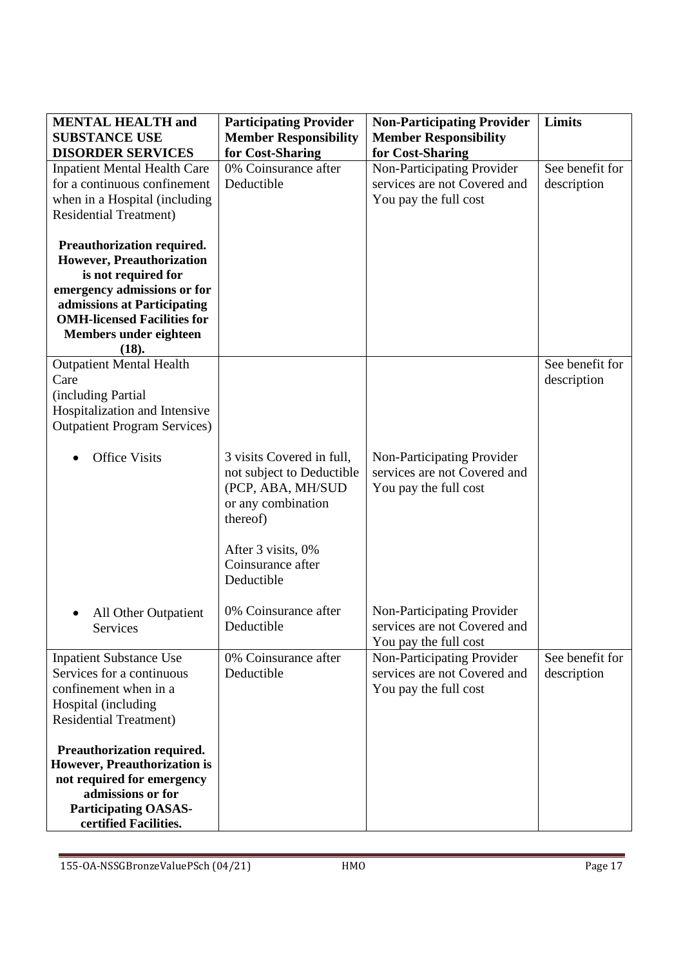| <b>MENTAL HEALTH and</b><br><b>SUBSTANCE USE</b>                                                                                                                                                                      | <b>Participating Provider</b><br><b>Member Responsibility</b>                                                                                                          | <b>Non-Participating Provider</b><br><b>Member Responsibility</b>                                       | Limits                         |
|-----------------------------------------------------------------------------------------------------------------------------------------------------------------------------------------------------------------------|------------------------------------------------------------------------------------------------------------------------------------------------------------------------|---------------------------------------------------------------------------------------------------------|--------------------------------|
| <b>DISORDER SERVICES</b><br><b>Inpatient Mental Health Care</b><br>for a continuous confinement<br>when in a Hospital (including<br><b>Residential Treatment)</b>                                                     | for Cost-Sharing<br>0% Coinsurance after<br>Deductible                                                                                                                 | for Cost-Sharing<br>Non-Participating Provider<br>services are not Covered and<br>You pay the full cost | See benefit for<br>description |
| Preauthorization required.<br>However, Preauthorization<br>is not required for<br>emergency admissions or for<br>admissions at Participating<br><b>OMH-licensed Facilities for</b><br>Members under eighteen<br>(18). |                                                                                                                                                                        |                                                                                                         |                                |
| <b>Outpatient Mental Health</b><br>Care<br>(including Partial<br>Hospitalization and Intensive<br><b>Outpatient Program Services</b> )                                                                                |                                                                                                                                                                        |                                                                                                         | See benefit for<br>description |
| <b>Office Visits</b>                                                                                                                                                                                                  | 3 visits Covered in full,<br>not subject to Deductible<br>(PCP, ABA, MH/SUD<br>or any combination<br>thereof)<br>After 3 visits, 0%<br>Coinsurance after<br>Deductible | Non-Participating Provider<br>services are not Covered and<br>You pay the full cost                     |                                |
| All Other Outpatient<br>Services                                                                                                                                                                                      | 0% Coinsurance after<br>Deductible                                                                                                                                     | Non-Participating Provider<br>services are not Covered and<br>You pay the full cost                     |                                |
| <b>Inpatient Substance Use</b><br>Services for a continuous<br>confinement when in a<br>Hospital (including<br><b>Residential Treatment)</b>                                                                          | 0% Coinsurance after<br>Deductible                                                                                                                                     | Non-Participating Provider<br>services are not Covered and<br>You pay the full cost                     | See benefit for<br>description |
| Preauthorization required.<br><b>However, Preauthorization is</b><br>not required for emergency<br>admissions or for<br><b>Participating OASAS-</b><br>certified Facilities.                                          |                                                                                                                                                                        |                                                                                                         |                                |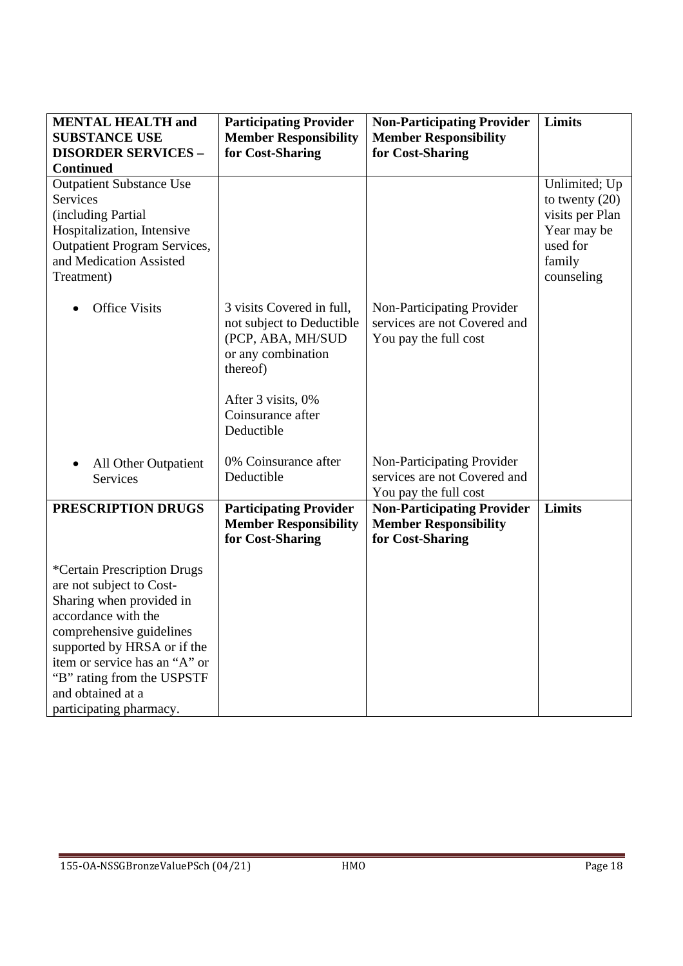| <b>MENTAL HEALTH and</b><br><b>SUBSTANCE USE</b><br><b>DISORDER SERVICES -</b><br><b>Continued</b>                                                                                                                                                                                   | <b>Participating Provider</b><br><b>Member Responsibility</b><br>for Cost-Sharing                                                                                      | <b>Non-Participating Provider</b><br><b>Member Responsibility</b><br>for Cost-Sharing | Limits                                                                                                  |
|--------------------------------------------------------------------------------------------------------------------------------------------------------------------------------------------------------------------------------------------------------------------------------------|------------------------------------------------------------------------------------------------------------------------------------------------------------------------|---------------------------------------------------------------------------------------|---------------------------------------------------------------------------------------------------------|
| <b>Outpatient Substance Use</b><br>Services<br>(including Partial<br>Hospitalization, Intensive<br><b>Outpatient Program Services,</b><br>and Medication Assisted<br>Treatment)                                                                                                      |                                                                                                                                                                        |                                                                                       | Unlimited; Up<br>to twenty $(20)$<br>visits per Plan<br>Year may be<br>used for<br>family<br>counseling |
| <b>Office Visits</b><br>$\bullet$                                                                                                                                                                                                                                                    | 3 visits Covered in full,<br>not subject to Deductible<br>(PCP, ABA, MH/SUD<br>or any combination<br>thereof)<br>After 3 visits, 0%<br>Coinsurance after<br>Deductible | Non-Participating Provider<br>services are not Covered and<br>You pay the full cost   |                                                                                                         |
| All Other Outpatient<br>$\bullet$<br><b>Services</b>                                                                                                                                                                                                                                 | 0% Coinsurance after<br>Deductible                                                                                                                                     | Non-Participating Provider<br>services are not Covered and<br>You pay the full cost   |                                                                                                         |
| PRESCRIPTION DRUGS                                                                                                                                                                                                                                                                   | <b>Participating Provider</b><br><b>Member Responsibility</b><br>for Cost-Sharing                                                                                      | <b>Non-Participating Provider</b><br><b>Member Responsibility</b><br>for Cost-Sharing | Limits                                                                                                  |
| *Certain Prescription Drugs<br>are not subject to Cost-<br>Sharing when provided in<br>accordance with the<br>comprehensive guidelines<br>supported by HRSA or if the<br>item or service has an "A" or<br>"B" rating from the USPSTF<br>and obtained at a<br>participating pharmacy. |                                                                                                                                                                        |                                                                                       |                                                                                                         |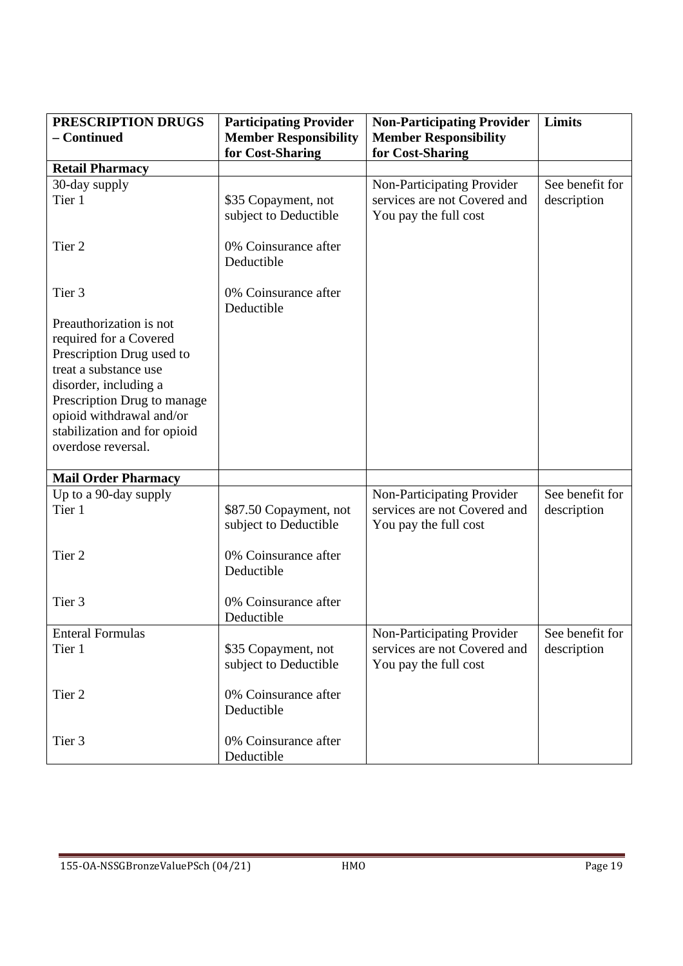| PRESCRIPTION DRUGS                                                                                                                                                                                                                                | <b>Participating Provider</b>                   | <b>Non-Participating Provider</b>                     | <b>Limits</b>   |
|---------------------------------------------------------------------------------------------------------------------------------------------------------------------------------------------------------------------------------------------------|-------------------------------------------------|-------------------------------------------------------|-----------------|
| - Continued                                                                                                                                                                                                                                       | <b>Member Responsibility</b>                    | <b>Member Responsibility</b>                          |                 |
|                                                                                                                                                                                                                                                   | for Cost-Sharing                                | for Cost-Sharing                                      |                 |
| <b>Retail Pharmacy</b>                                                                                                                                                                                                                            |                                                 |                                                       |                 |
| 30-day supply                                                                                                                                                                                                                                     |                                                 | Non-Participating Provider                            | See benefit for |
| Tier 1                                                                                                                                                                                                                                            | \$35 Copayment, not<br>subject to Deductible    | services are not Covered and<br>You pay the full cost | description     |
| Tier <sub>2</sub>                                                                                                                                                                                                                                 | 0% Coinsurance after<br>Deductible              |                                                       |                 |
| Tier <sub>3</sub>                                                                                                                                                                                                                                 | 0% Coinsurance after<br>Deductible              |                                                       |                 |
| Preauthorization is not<br>required for a Covered<br>Prescription Drug used to<br>treat a substance use<br>disorder, including a<br>Prescription Drug to manage<br>opioid withdrawal and/or<br>stabilization and for opioid<br>overdose reversal. |                                                 |                                                       |                 |
| <b>Mail Order Pharmacy</b>                                                                                                                                                                                                                        |                                                 |                                                       |                 |
| Up to a 90-day supply                                                                                                                                                                                                                             |                                                 | Non-Participating Provider                            | See benefit for |
| Tier 1                                                                                                                                                                                                                                            | \$87.50 Copayment, not<br>subject to Deductible | services are not Covered and<br>You pay the full cost | description     |
| Tier <sub>2</sub>                                                                                                                                                                                                                                 | 0% Coinsurance after<br>Deductible              |                                                       |                 |
| Tier <sub>3</sub>                                                                                                                                                                                                                                 | 0% Coinsurance after<br>Deductible              |                                                       |                 |
| <b>Enteral Formulas</b>                                                                                                                                                                                                                           |                                                 | Non-Participating Provider                            | See benefit for |
| Tier 1                                                                                                                                                                                                                                            | \$35 Copayment, not<br>subject to Deductible    | services are not Covered and<br>You pay the full cost | description     |
| Tier 2                                                                                                                                                                                                                                            | 0% Coinsurance after<br>Deductible              |                                                       |                 |
| Tier 3                                                                                                                                                                                                                                            | 0% Coinsurance after<br>Deductible              |                                                       |                 |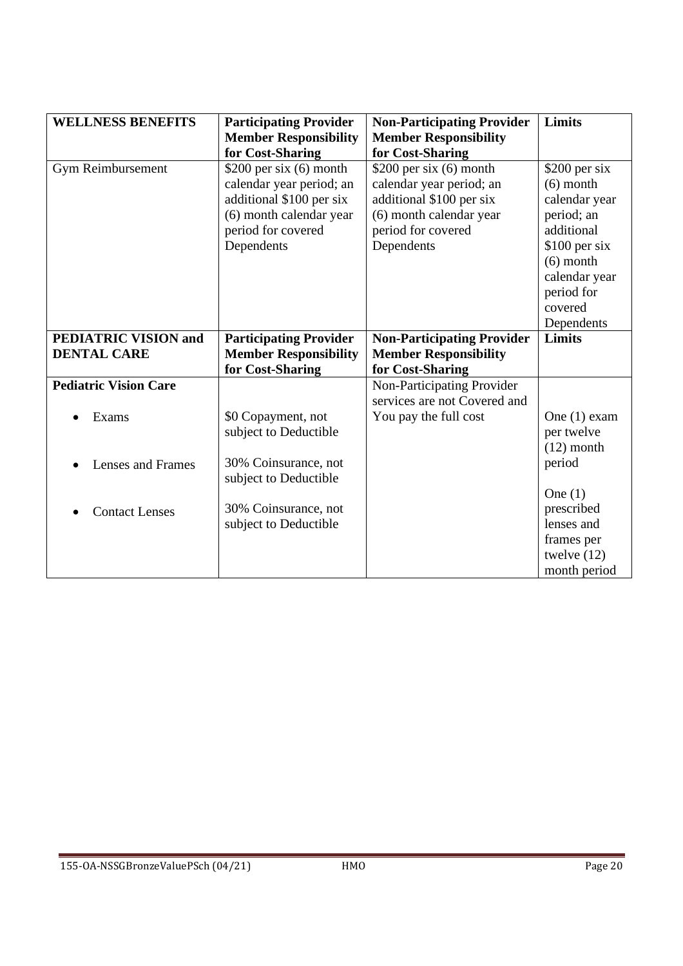| <b>WELLNESS BENEFITS</b>     | <b>Participating Provider</b><br><b>Member Responsibility</b> | <b>Non-Participating Provider</b><br><b>Member Responsibility</b> | <b>Limits</b>  |
|------------------------------|---------------------------------------------------------------|-------------------------------------------------------------------|----------------|
|                              | for Cost-Sharing                                              | for Cost-Sharing                                                  |                |
| Gym Reimbursement            | \$200 per six $(6)$ month                                     | \$200 per six $(6)$ month                                         | $$200$ per six |
|                              | calendar year period; an                                      | calendar year period; an                                          | $(6)$ month    |
|                              | additional \$100 per six                                      | additional \$100 per six                                          | calendar year  |
|                              | (6) month calendar year                                       | (6) month calendar year                                           | period; an     |
|                              | period for covered                                            | period for covered                                                | additional     |
|                              | Dependents                                                    | Dependents                                                        | \$100 per six  |
|                              |                                                               |                                                                   | $(6)$ month    |
|                              |                                                               |                                                                   | calendar year  |
|                              |                                                               |                                                                   | period for     |
|                              |                                                               |                                                                   | covered        |
|                              |                                                               |                                                                   | Dependents     |
| <b>PEDIATRIC VISION and</b>  | <b>Participating Provider</b>                                 | <b>Non-Participating Provider</b>                                 | Limits         |
| <b>DENTAL CARE</b>           | <b>Member Responsibility</b>                                  | <b>Member Responsibility</b>                                      |                |
|                              | for Cost-Sharing                                              | for Cost-Sharing                                                  |                |
| <b>Pediatric Vision Care</b> |                                                               | Non-Participating Provider                                        |                |
|                              |                                                               | services are not Covered and                                      |                |
| Exams                        | \$0 Copayment, not                                            | You pay the full cost                                             | One $(1)$ exam |
|                              | subject to Deductible                                         |                                                                   | per twelve     |
|                              |                                                               |                                                                   | $(12)$ month   |
| Lenses and Frames            | 30% Coinsurance, not                                          |                                                                   | period         |
|                              | subject to Deductible                                         |                                                                   |                |
|                              |                                                               |                                                                   | One $(1)$      |
| <b>Contact Lenses</b>        | 30% Coinsurance, not                                          |                                                                   | prescribed     |
|                              | subject to Deductible                                         |                                                                   | lenses and     |
|                              |                                                               |                                                                   | frames per     |
|                              |                                                               |                                                                   | twelve $(12)$  |
|                              |                                                               |                                                                   | month period   |